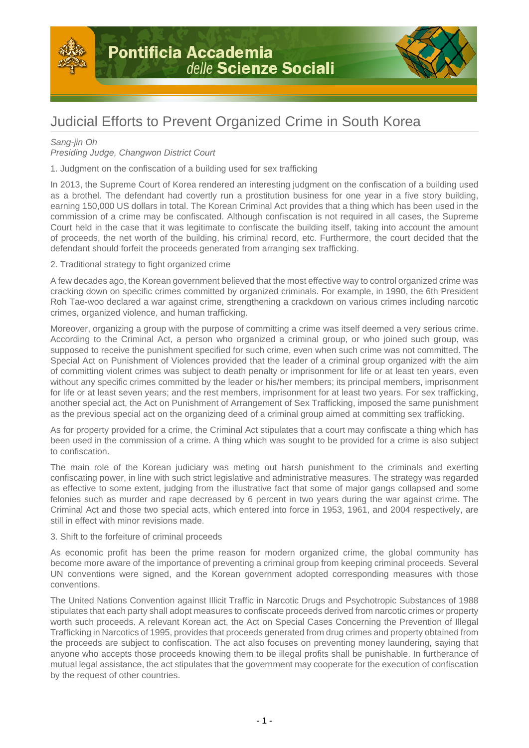



# Judicial Efforts to Prevent Organized Crime in South Korea

## Sang-jin Oh

## Presiding Judge, Changwon District Court

1. Judgment on the confiscation of a building used for sex trafficking

In 2013, the Supreme Court of Korea rendered an interesting judgment on the confiscation of a building used as a brothel. The defendant had covertly run a prostitution business for one year in a five story building, earning 150,000 US dollars in total. The Korean Criminal Act provides that a thing which has been used in the commission of a crime may be confiscated. Although confiscation is not required in all cases, the Supreme Court held in the case that it was legitimate to confiscate the building itself, taking into account the amount of proceeds, the net worth of the building, his criminal record, etc. Furthermore, the court decided that the defendant should forfeit the proceeds generated from arranging sex trafficking.

### 2. Traditional strategy to fight organized crime

A few decades ago, the Korean government believed that the most effective way to control organized crime was cracking down on specific crimes committed by organized criminals. For example, in 1990, the 6th President Roh Tae-woo declared a war against crime, strengthening a crackdown on various crimes including narcotic crimes, organized violence, and human trafficking.

Moreover, organizing a group with the purpose of committing a crime was itself deemed a very serious crime. According to the Criminal Act, a person who organized a criminal group, or who joined such group, was supposed to receive the punishment specified for such crime, even when such crime was not committed. The Special Act on Punishment of Violences provided that the leader of a criminal group organized with the aim of committing violent crimes was subject to death penalty or imprisonment for life or at least ten years, even without any specific crimes committed by the leader or his/her members; its principal members, imprisonment for life or at least seven years; and the rest members, imprisonment for at least two years. For sex trafficking, another special act, the Act on Punishment of Arrangement of Sex Trafficking, imposed the same punishment as the previous special act on the organizing deed of a criminal group aimed at committing sex trafficking.

As for property provided for a crime, the Criminal Act stipulates that a court may confiscate a thing which has been used in the commission of a crime. A thing which was sought to be provided for a crime is also subject to confiscation.

The main role of the Korean judiciary was meting out harsh punishment to the criminals and exerting confiscating power, in line with such strict legislative and administrative measures. The strategy was regarded as effective to some extent, judging from the illustrative fact that some of major gangs collapsed and some felonies such as murder and rape decreased by 6 percent in two years during the war against crime. The Criminal Act and those two special acts, which entered into force in 1953, 1961, and 2004 respectively, are still in effect with minor revisions made.

#### 3. Shift to the forfeiture of criminal proceeds

As economic profit has been the prime reason for modern organized crime, the global community has become more aware of the importance of preventing a criminal group from keeping criminal proceeds. Several UN conventions were signed, and the Korean government adopted corresponding measures with those conventions.

The United Nations Convention against Illicit Traffic in Narcotic Drugs and Psychotropic Substances of 1988 stipulates that each party shall adopt measures to confiscate proceeds derived from narcotic crimes or property worth such proceeds. A relevant Korean act, the Act on Special Cases Concerning the Prevention of Illegal Trafficking in Narcotics of 1995, provides that proceeds generated from drug crimes and property obtained from the proceeds are subject to confiscation. The act also focuses on preventing money laundering, saying that anyone who accepts those proceeds knowing them to be illegal profits shall be punishable. In furtherance of mutual legal assistance, the act stipulates that the government may cooperate for the execution of confiscation by the request of other countries.